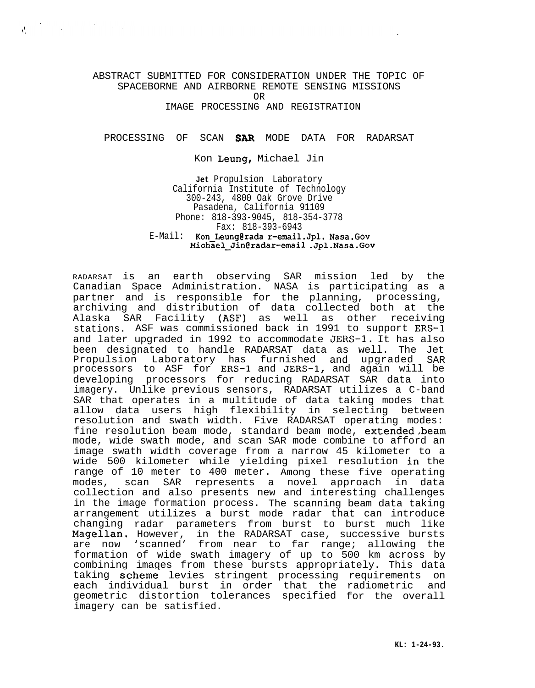## ABSTRACT SUBMITTED FOR CONSIDERATION UNDER THE TOPIC OF SPACEBORNE AND AIRBORNE REMOTE SENSING MISSIONS OR

 $\label{eq:2.1} \int_{\Omega} \left( \frac{1}{\sqrt{2}} \, \frac{d\mu}{\lambda} \right) \, d\mu = \int_{\Omega} \left( \frac{d\mu}{\lambda} \, \frac{d\mu}{\lambda} \right) \, d\mu = \int_{\Omega} \left( \frac{d\mu}{\lambda} \, \frac{d\mu}{\lambda} \right) \, d\mu = \int_{\Omega} \left( \frac{d\mu}{\lambda} \, \frac{d\mu}{\lambda} \right) \, d\mu = \int_{\Omega} \left( \frac{d\mu}{\lambda} \, \frac{d\mu}{\lambda} \right) \, d\mu = \int_{\Omega} \left( \frac$ 

IMAGE PROCESSING AND REGISTRATION

## PROCESSING OF SCAN SAR MODE DATA FOR RADARSAT

Kon Leung, Michael Jin

**Jet** Propulsion Laboratory California Institute of Technology 300-243, 4800 Oak Grove Drive Pasadena, California 91109 Phone: 818-393-9045, 818-354-3778 Fax: 818-393-6943 E-Mail: Kon Leung@rada r-email.Jpl. Nasa.Gov **Michael\_Jin@radar-email .Jpl.Nasa.Gov**

RADARSAT is an earth observing SAR mission led by the Canadian Space Administration. NASA is participating as a partner and is responsible for the planning, archiving and distribution of data collected both at the Alaska SAR Facility (ASF) as well as other receiving stations. ASF was commissioned back in 1991 to support ERS-1 and later upgraded in 1992 to accommodate JERS-1. It has also been designated to handle RADARSAT data as well. The Jet Propulsion Laboratory has furnished and upgraded SAR processors to ASF for ERS-1 and JERS-1, and again will be developing processors for reducing RADARSAT SAR data into imagery. Unlike previous sensors, RADARSAT utilizes a C-band SAR that operates in a multitude of data taking modes that allow data users high flexibility in selecting between resolution and swath width. Five RADARSAT operating modes: fine resolution beam mode, standard beam mode, extended,beam mode, wide swath mode, and scan SAR mode combine to afford an image swath width coverage from a narrow 45 kilometer to a wide 500 kilometer while yielding pixel resolution in the range of 10 meter to 400 meter. Among these five operating modes, scan SAR represents a novel approach in data collection and also presents new and interesting challenges in the image formation process. The scanning beam data taking arrangement utilizes a burst mode radar that can introduce changing radar parameters from burst to burst much like Magellan. However, in the RADARSAT case, successive bursts are now 'scanned' from near to far range; allowing the formation of wide swath imagery of up to 500 km across by combining images from these bursts appropriately. This data taking scheme levies stringent processing requirements on each individual burst in order that the radiometric and geometric distortion tolerances specified for the overall imagery can be satisfied.